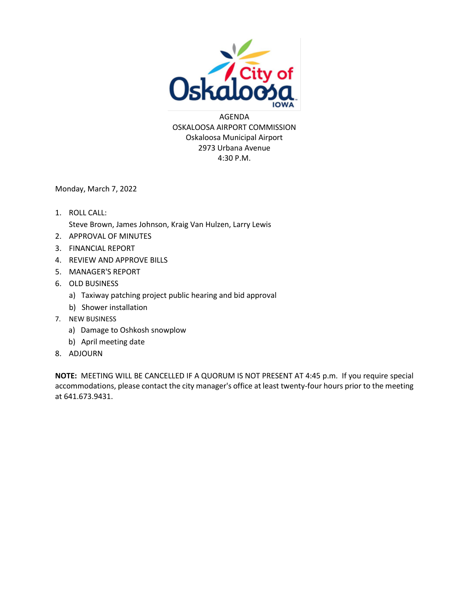

AGENDA OSKALOOSA AIRPORT COMMISSION Oskaloosa Municipal Airport 2973 Urbana Avenue 4:30 P.M.

Monday, March 7, 2022

- 1. ROLL CALL: Steve Brown, James Johnson, Kraig Van Hulzen, Larry Lewis
- 2. APPROVAL OF MINUTES
- 3. FINANCIAL REPORT
- 4. REVIEW AND APPROVE BILLS
- 5. MANAGER'S REPORT
- 6. OLD BUSINESS
	- a) Taxiway patching project public hearing and bid approval
	- b) Shower installation
- 7. NEW BUSINESS
	- a) Damage to Oshkosh snowplow
	- b) April meeting date
- 8. ADJOURN

**NOTE:** MEETING WILL BE CANCELLED IF A QUORUM IS NOT PRESENT AT 4:45 p.m. If you require special accommodations, please contact the city manager's office at least twenty-four hours prior to the meeting at 641.673.9431.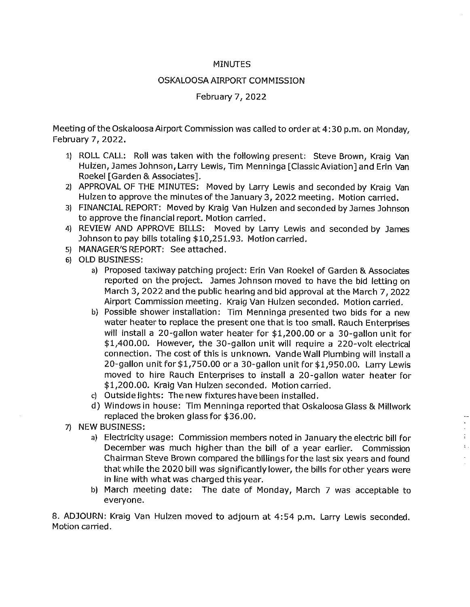#### **MINUTES**

#### OSKALOOSA AIRPORT COMMISSION

#### February 7, 2022

Meeting of the Oskaloosa Airport Commission was called to order at 4:30 p.m. on Monday. February 7, 2022.

- 1) ROLL CALL: Roll was taken with the following present: Steve Brown, Kraig Van Hulzen, James Johnson, Larry Lewis, Tim Menninga [Classic Aviation] and Erin Van Roekel [Garden & Associates].
- 2) APPROVAL OF THE MINUTES: Moved by Larry Lewis and seconded by Kraig Van Hulzen to approve the minutes of the January 3, 2022 meeting. Motion carried.
- 3) FINANCIAL REPORT: Moved by Kraig Van Hulzen and seconded by James Johnson to approve the financial report. Motion carried.
- 4) REVIEW AND APPROVE BILLS: Moved by Larry Lewis and seconded by James Johnson to pay bills totaling \$10,251.93. Motion carried.
- 5) MANAGER'S REPORT: See attached.
- 6) OLD BUSINESS:
	- a) Proposed taxiway patching project: Erin Van Roekel of Garden & Associates reported on the project. James Johnson moved to have the bid letting on March 3, 2022 and the public hearing and bid approval at the March 7, 2022 Airport Commission meeting. Kraig Van Hulzen seconded. Motion carried.
	- b) Possible shower installation: Tim Menninga presented two bids for a new water heater to replace the present one that is too small. Rauch Enterprises will install a 20-gallon water heater for \$1,200.00 or a 30-gallon unit for \$1,400.00. However, the 30-gallon unit will reguire a 220-volt electrical connection. The cost of this is unknown. Vande Wall Plumbing will install a 20-gallon unit for \$1,750.00 or a 30-gallon unit for \$1,950.00. Larry Lewis moved to hire Rauch Enterprises to install a 20-gallon water heater for \$1,200.00. Kraig Van Hulzen seconded. Motion carried.
	- c) Outside lights: The new fixtures have been installed.
	- d) Windows in house: Tim Menninga reported that Oskaloosa Glass & Millwork replaced the broken glass for \$36.00.
- 7) NEW BUSINESS:
	- a) Electricity usage: Commission members noted in January the electric bill for December was much higher than the bill of a year earlier. Commission Chairman Steve Brown compared the billings for the last six years and found that while the 2020 bill was significantly lower, the bills for other years were in line with what was charged this year.

 $\frac{1}{2}$  .

 $\mathcal{L}^{\pm}$ 

b) March meeting date: The date of Monday, March 7 was acceptable to everyone.

8. ADJOURN: Kraig Van Hulzen moved to adjourn at 4:54 p.m. Larry Lewis seconded. Motion carried.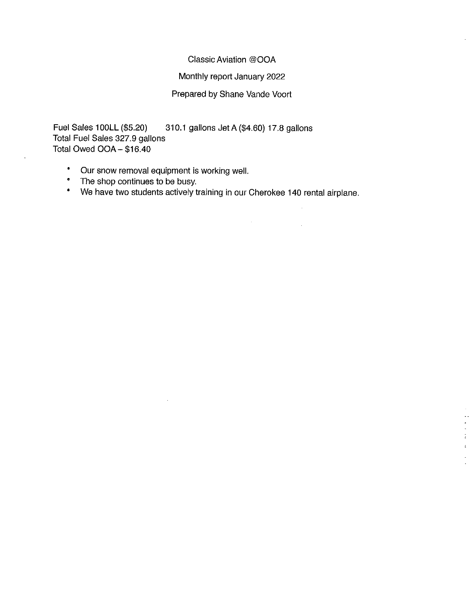#### Classic Aviation @OOA

#### Monthly report January 2022

### Prepared by Shane Vande Voort

Fuel Sales 100LL (\$5.20) 310.1 gallons Jet A (\$4.60) 17.8 gallons Total Fuel Sales 327.9 gallons Total Owed OOA - \$16.40

Our snow removal equipment is working well.  $\bullet$ 

 $\bar{z}$ 

- The shop continues to be busy.  $\bullet$
- We have two students actively training in our Cherokee 140 rental airplane.  $\bullet$

 $\mathbf{r}$ l,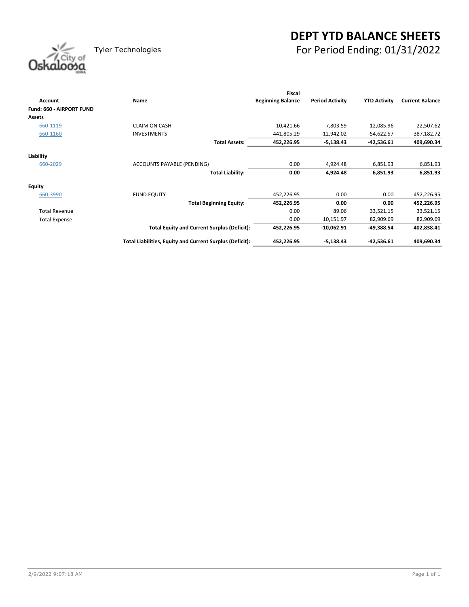# **DEPT YTD BALANCE SHEETS** Tyler Technologies For Period Ending: 01/31/2022

| Oskaloosa |
|-----------|
|           |

|                          |                                                          | <b>Fiscal</b>            |                        |                     |                        |
|--------------------------|----------------------------------------------------------|--------------------------|------------------------|---------------------|------------------------|
| Account                  | Name                                                     | <b>Beginning Balance</b> | <b>Period Activity</b> | <b>YTD Activity</b> | <b>Current Balance</b> |
| Fund: 660 - AIRPORT FUND |                                                          |                          |                        |                     |                        |
| <b>Assets</b>            |                                                          |                          |                        |                     |                        |
| 660-1119                 | <b>CLAIM ON CASH</b>                                     | 10,421.66                | 7,803.59               | 12,085.96           | 22,507.62              |
| 660-1160                 | <b>INVESTMENTS</b>                                       | 441,805.29               | $-12,942.02$           | $-54,622.57$        | 387,182.72             |
|                          | <b>Total Assets:</b>                                     | 452,226.95               | $-5,138.43$            | $-42,536.61$        | 409,690.34             |
|                          |                                                          |                          |                        |                     |                        |
| Liability                |                                                          |                          |                        |                     |                        |
| 660-2029                 | <b>ACCOUNTS PAYABLE (PENDING)</b>                        | 0.00                     | 4,924.48               | 6,851.93            | 6,851.93               |
|                          | <b>Total Liability:</b>                                  | 0.00                     | 4,924.48               | 6,851.93            | 6,851.93               |
| <b>Equity</b>            |                                                          |                          |                        |                     |                        |
| 660-3990                 | <b>FUND EQUITY</b>                                       | 452,226.95               | 0.00                   | 0.00                | 452,226.95             |
|                          | <b>Total Beginning Equity:</b>                           | 452,226.95               | 0.00                   | 0.00                | 452,226.95             |
| <b>Total Revenue</b>     |                                                          | 0.00                     | 89.06                  | 33,521.15           | 33,521.15              |
| <b>Total Expense</b>     |                                                          | 0.00                     | 10,151.97              | 82,909.69           | 82,909.69              |
|                          | <b>Total Equity and Current Surplus (Deficit):</b>       | 452,226.95               | $-10,062.91$           | $-49,388.54$        | 402,838.41             |
|                          | Total Liabilities, Equity and Current Surplus (Deficit): | 452,226.95               | $-5,138.43$            | $-42,536.61$        | 409,690.34             |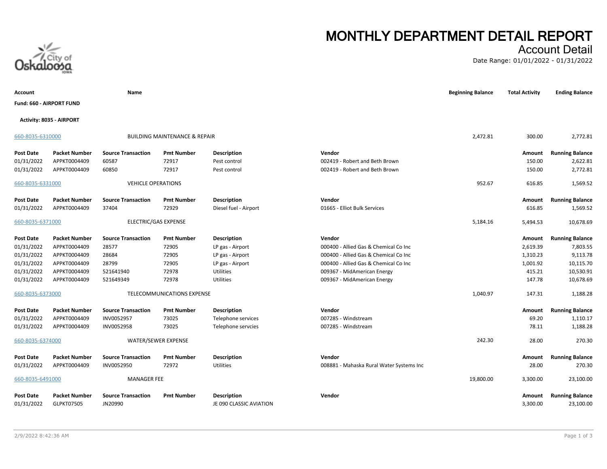

# **MONTHLY DEPARTMENT DETAIL REPORT**

### Account Detail

Date Range: 01/01/2022 - 01/31/2022

| Account                        |                                    | Name                                 |                                          |                                               |                                          | <b>Beginning Balance</b> | <b>Total Activity</b> | <b>Ending Balance</b>               |
|--------------------------------|------------------------------------|--------------------------------------|------------------------------------------|-----------------------------------------------|------------------------------------------|--------------------------|-----------------------|-------------------------------------|
| Fund: 660 - AIRPORT FUND       |                                    |                                      |                                          |                                               |                                          |                          |                       |                                     |
|                                | Activity: 8035 - AIRPORT           |                                      |                                          |                                               |                                          |                          |                       |                                     |
| 660-8035-6310000               |                                    |                                      | <b>BUILDING MAINTENANCE &amp; REPAIR</b> |                                               |                                          | 2,472.81                 | 300.00                | 2,772.81                            |
| Post Date                      | <b>Packet Number</b>               | <b>Source Transaction</b>            | <b>Pmt Number</b>                        | <b>Description</b>                            | Vendor                                   |                          | Amount                | <b>Running Balance</b>              |
| 01/31/2022                     | APPKT0004409                       | 60587                                | 72917                                    | Pest control                                  | 002419 - Robert and Beth Brown           |                          | 150.00                | 2,622.81                            |
| 01/31/2022                     | APPKT0004409                       | 60850                                | 72917                                    | Pest control                                  | 002419 - Robert and Beth Brown           |                          | 150.00                | 2,772.81                            |
| 660-8035-6331000               |                                    | <b>VEHICLE OPERATIONS</b>            |                                          |                                               |                                          | 952.67                   | 616.85                | 1,569.52                            |
| <b>Post Date</b>               | <b>Packet Number</b>               | <b>Source Transaction</b>            | <b>Pmt Number</b>                        | <b>Description</b>                            | Vendor                                   |                          | Amount                | <b>Running Balance</b>              |
| 01/31/2022                     | APPKT0004409                       | 37404                                | 72929                                    | Diesel fuel - Airport                         | 01665 - Elliot Bulk Services             |                          | 616.85                | 1,569.52                            |
| 660-8035-6371000               |                                    | ELECTRIC/GAS EXPENSE                 |                                          |                                               |                                          | 5,184.16                 | 5,494.53              | 10,678.69                           |
| Post Date                      | <b>Packet Number</b>               | <b>Source Transaction</b>            | <b>Pmt Number</b>                        | <b>Description</b>                            | Vendor                                   |                          | Amount                | <b>Running Balance</b>              |
| 01/31/2022                     | APPKT0004409                       | 28577                                | 72905                                    | LP gas - Airport                              | 000400 - Allied Gas & Chemical Co Inc    |                          | 2,619.39              | 7,803.55                            |
| 01/31/2022                     | APPKT0004409                       | 28684                                | 72905                                    | LP gas - Airport                              | 000400 - Allied Gas & Chemical Co Inc    |                          | 1,310.23              | 9,113.78                            |
| 01/31/2022                     | APPKT0004409                       | 28799                                | 72905                                    | LP gas - Airport                              | 000400 - Allied Gas & Chemical Co Inc    |                          | 1,001.92              | 10,115.70                           |
| 01/31/2022                     | APPKT0004409                       | 521641940                            | 72978                                    | Utilities                                     | 009367 - MidAmerican Energy              |                          | 415.21                | 10,530.91                           |
| 01/31/2022                     | APPKT0004409                       | 521649349                            | 72978                                    | Utilities                                     | 009367 - MidAmerican Energy              |                          | 147.78                | 10,678.69                           |
| 660-8035-6373000               |                                    |                                      | TELECOMMUNICATIONS EXPENSE               |                                               |                                          | 1,040.97                 | 147.31                | 1,188.28                            |
| Post Date                      | <b>Packet Number</b>               | <b>Source Transaction</b>            | <b>Pmt Number</b>                        | <b>Description</b>                            | Vendor                                   |                          | Amount                | <b>Running Balance</b>              |
| 01/31/2022                     | APPKT0004409                       | INV0052957                           | 73025                                    | Telephone services                            | 007285 - Windstream                      |                          | 69.20                 | 1,110.17                            |
| 01/31/2022                     | APPKT0004409                       | INV0052958                           | 73025                                    | Telephone servcies                            | 007285 - Windstream                      |                          | 78.11                 | 1,188.28                            |
| 660-8035-6374000               |                                    |                                      | WATER/SEWER EXPENSE                      |                                               |                                          | 242.30                   | 28.00                 | 270.30                              |
| Post Date                      | <b>Packet Number</b>               | <b>Source Transaction</b>            | <b>Pmt Number</b>                        | <b>Description</b>                            | Vendor                                   |                          | Amount                | <b>Running Balance</b>              |
| 01/31/2022                     | APPKT0004409                       | INV0052950                           | 72972                                    | Utilities                                     | 008881 - Mahaska Rural Water Systems Inc |                          | 28.00                 | 270.30                              |
| 660-8035-6491000               |                                    | <b>MANAGER FEE</b>                   |                                          |                                               |                                          | 19,800.00                | 3,300.00              | 23,100.00                           |
| <b>Post Date</b><br>01/31/2022 | <b>Packet Number</b><br>GLPKT07505 | <b>Source Transaction</b><br>JN20990 | <b>Pmt Number</b>                        | <b>Description</b><br>JE 090 CLASSIC AVIATION | Vendor                                   |                          | Amount<br>3,300.00    | <b>Running Balance</b><br>23,100.00 |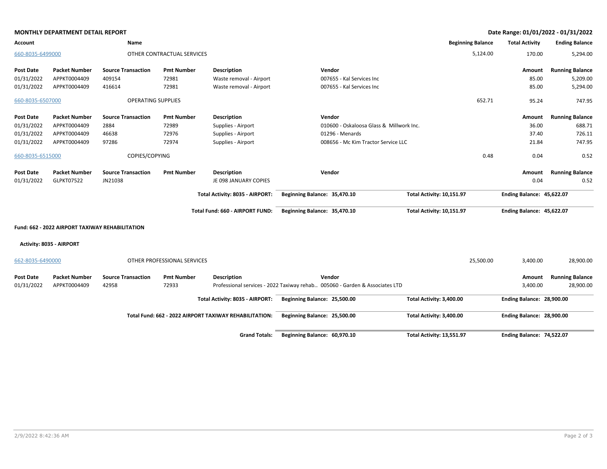|                  | <b>MONTHLY DEPARTMENT DETAIL REPORT</b>         |                           |                             |                                                        |                                                                             |                           |                          |                           | Date Range: 01/01/2022 - 01/31/2022 |
|------------------|-------------------------------------------------|---------------------------|-----------------------------|--------------------------------------------------------|-----------------------------------------------------------------------------|---------------------------|--------------------------|---------------------------|-------------------------------------|
| Account          |                                                 | Name                      |                             |                                                        |                                                                             |                           | <b>Beginning Balance</b> | <b>Total Activity</b>     | <b>Ending Balance</b>               |
| 660-8035-6499000 |                                                 |                           | OTHER CONTRACTUAL SERVICES  |                                                        |                                                                             |                           | 5,124.00                 | 170.00                    | 5,294.00                            |
| <b>Post Date</b> | <b>Packet Number</b>                            | <b>Source Transaction</b> | <b>Pmt Number</b>           | <b>Description</b>                                     | Vendor                                                                      |                           |                          | Amount                    | <b>Running Balance</b>              |
| 01/31/2022       | APPKT0004409                                    | 409154                    | 72981                       | Waste removal - Airport                                | 007655 - Kal Services Inc                                                   |                           |                          | 85.00                     | 5,209.00                            |
| 01/31/2022       | APPKT0004409                                    | 416614                    | 72981                       | Waste removal - Airport                                | 007655 - Kal Services Inc                                                   |                           |                          | 85.00                     | 5,294.00                            |
| 660-8035-6507000 |                                                 | <b>OPERATING SUPPLIES</b> |                             |                                                        |                                                                             |                           | 652.71                   | 95.24                     | 747.95                              |
| <b>Post Date</b> | <b>Packet Number</b>                            | <b>Source Transaction</b> | <b>Pmt Number</b>           | <b>Description</b>                                     | Vendor                                                                      |                           |                          | Amount                    | <b>Running Balance</b>              |
| 01/31/2022       | APPKT0004409                                    | 2884                      | 72989                       | Supplies - Airport                                     | 010600 - Oskaloosa Glass & Millwork Inc.                                    |                           |                          | 36.00                     | 688.71                              |
| 01/31/2022       | APPKT0004409                                    | 46638                     | 72976                       | Supplies - Airport                                     | 01296 - Menards                                                             |                           |                          | 37.40                     | 726.11                              |
| 01/31/2022       | APPKT0004409                                    | 97286                     | 72974                       | Supplies - Airport                                     | 008656 - Mc Kim Tractor Service LLC                                         |                           |                          | 21.84                     | 747.95                              |
| 660-8035-6515000 |                                                 | COPIES/COPYING            |                             |                                                        |                                                                             |                           | 0.48                     | 0.04                      | 0.52                                |
| <b>Post Date</b> | <b>Packet Number</b>                            | <b>Source Transaction</b> | <b>Pmt Number</b>           | <b>Description</b>                                     | Vendor                                                                      |                           |                          | Amount                    | <b>Running Balance</b>              |
| 01/31/2022       | GLPKT07522                                      | JN21038                   |                             | JE 098 JANUARY COPIES                                  |                                                                             |                           |                          | 0.04                      | 0.52                                |
|                  |                                                 |                           |                             | Total Activity: 8035 - AIRPORT:                        | Beginning Balance: 35,470.10                                                | Total Activity: 10,151.97 |                          | Ending Balance: 45,622.07 |                                     |
|                  |                                                 |                           |                             | Total Fund: 660 - AIRPORT FUND:                        | Beginning Balance: 35,470.10                                                | Total Activity: 10,151.97 |                          | Ending Balance: 45,622.07 |                                     |
|                  | Fund: 662 - 2022 AIRPORT TAXIWAY REHABILITATION |                           |                             |                                                        |                                                                             |                           |                          |                           |                                     |
|                  | Activity: 8035 - AIRPORT                        |                           |                             |                                                        |                                                                             |                           |                          |                           |                                     |
| 662-8035-6490000 |                                                 |                           | OTHER PROFESSIONAL SERVICES |                                                        |                                                                             |                           | 25,500.00                | 3,400.00                  | 28,900.00                           |
| <b>Post Date</b> | <b>Packet Number</b>                            | <b>Source Transaction</b> | <b>Pmt Number</b>           | <b>Description</b>                                     | Vendor                                                                      |                           |                          | Amount                    | <b>Running Balance</b>              |
| 01/31/2022       | APPKT0004409                                    | 42958                     | 72933                       |                                                        | Professional services - 2022 Taxiway rehab 005060 - Garden & Associates LTD |                           |                          | 3,400.00                  | 28,900.00                           |
|                  |                                                 |                           |                             | Total Activity: 8035 - AIRPORT:                        | Beginning Balance: 25,500.00                                                | Total Activity: 3,400.00  |                          | Ending Balance: 28,900.00 |                                     |
|                  |                                                 |                           |                             | Total Fund: 662 - 2022 AIRPORT TAXIWAY REHABILITATION: | Beginning Balance: 25,500.00                                                | Total Activity: 3,400.00  |                          | Ending Balance: 28,900.00 |                                     |
|                  |                                                 |                           |                             | <b>Grand Totals:</b>                                   | Beginning Balance: 60,970.10                                                | Total Activity: 13,551.97 |                          | Ending Balance: 74,522.07 |                                     |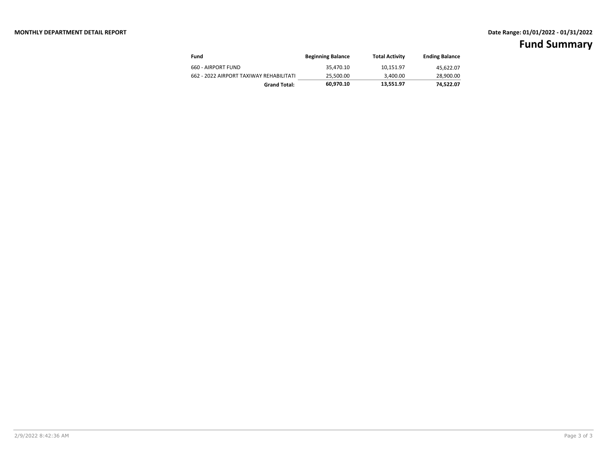| Fund                                    | <b>Beginning Balance</b> | <b>Total Activity</b> | <b>Ending Balance</b> |
|-----------------------------------------|--------------------------|-----------------------|-----------------------|
| 660 - AIRPORT FUND                      | 35.470.10                | 10.151.97             | 45,622.07             |
| 662 - 2022 AIRPORT TAXIWAY REHABILITATI | 25.500.00                | 3.400.00              | 28,900.00             |
| <b>Grand Total:</b>                     | 60.970.10                | 13.551.97             | 74.522.07             |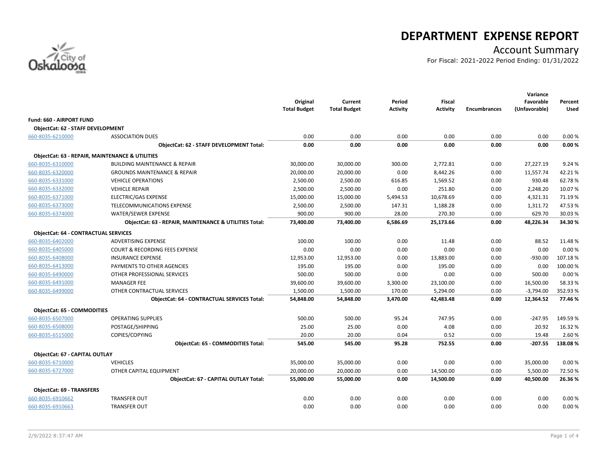

# **DEPARTMENT EXPENSE REPORT**

# Account Summary

For Fiscal: 2021-2022 Period Ending: 01/31/2022

|                                             |                                                            | Original<br><b>Total Budget</b> | Current<br><b>Total Budget</b> | Period<br><b>Activity</b> | <b>Fiscal</b><br><b>Activity</b> | <b>Encumbrances</b> | Variance<br>Favorable<br>(Unfavorable) | Percent<br>Used |
|---------------------------------------------|------------------------------------------------------------|---------------------------------|--------------------------------|---------------------------|----------------------------------|---------------------|----------------------------------------|-----------------|
| <b>Fund: 660 - AIRPORT FUND</b>             |                                                            |                                 |                                |                           |                                  |                     |                                        |                 |
| ObjectCat: 62 - STAFF DEVELOPMENT           |                                                            |                                 |                                |                           |                                  |                     |                                        |                 |
| 660-8035-6210000                            | <b>ASSOCIATION DUES</b>                                    | 0.00                            | 0.00                           | 0.00                      | 0.00                             | 0.00                | 0.00                                   | 0.00%           |
|                                             | ObjectCat: 62 - STAFF DEVELOPMENT Total:                   | 0.00                            | 0.00                           | 0.00                      | 0.00                             | 0.00                | 0.00                                   | 0.00%           |
|                                             | <b>ObjectCat: 63 - REPAIR, MAINTENANCE &amp; UTILITIES</b> |                                 |                                |                           |                                  |                     |                                        |                 |
| 660-8035-6310000                            | <b>BUILDING MAINTENANCE &amp; REPAIR</b>                   | 30,000.00                       | 30,000.00                      | 300.00                    | 2,772.81                         | 0.00                | 27,227.19                              | 9.24 %          |
| 660-8035-6320000                            | <b>GROUNDS MAINTENANCE &amp; REPAIR</b>                    | 20,000.00                       | 20,000.00                      | 0.00                      | 8,442.26                         | 0.00                | 11,557.74                              | 42.21%          |
| 660-8035-6331000                            | <b>VEHICLE OPERATIONS</b>                                  | 2,500.00                        | 2,500.00                       | 616.85                    | 1,569.52                         | 0.00                | 930.48                                 | 62.78%          |
| 660-8035-6332000                            | <b>VEHICLE REPAIR</b>                                      | 2,500.00                        | 2,500.00                       | 0.00                      | 251.80                           | 0.00                | 2,248.20                               | 10.07%          |
| 660-8035-6371000                            | <b>ELECTRIC/GAS EXPENSE</b>                                | 15,000.00                       | 15,000.00                      | 5,494.53                  | 10,678.69                        | 0.00                | 4,321.31                               | 71.19%          |
| 660-8035-6373000                            | TELECOMMUNICATIONS EXPENSE                                 | 2,500.00                        | 2,500.00                       | 147.31                    | 1,188.28                         | 0.00                | 1,311.72                               | 47.53%          |
| 660-8035-6374000                            | <b>WATER/SEWER EXPENSE</b>                                 | 900.00                          | 900.00                         | 28.00                     | 270.30                           | 0.00                | 629.70                                 | 30.03%          |
|                                             | ObjectCat: 63 - REPAIR, MAINTENANCE & UTILITIES Total:     | 73,400.00                       | 73,400.00                      | 6,586.69                  | 25,173.66                        | 0.00                | 48,226.34                              | 34.30%          |
| <b>ObjectCat: 64 - CONTRACTUAL SERVICES</b> |                                                            |                                 |                                |                           |                                  |                     |                                        |                 |
| 660-8035-6402000                            | <b>ADVERTISING EXPENSE</b>                                 | 100.00                          | 100.00                         | 0.00                      | 11.48                            | 0.00                | 88.52                                  | 11.48%          |
| 660-8035-6405000                            | <b>COURT &amp; RECORDING FEES EXPENSE</b>                  | 0.00                            | 0.00                           | 0.00                      | 0.00                             | 0.00                | 0.00                                   | 0.00%           |
| 660-8035-6408000                            | <b>INSURANCE EXPENSE</b>                                   | 12,953.00                       | 12,953.00                      | 0.00                      | 13,883.00                        | 0.00                | $-930.00$                              | 107.18%         |
| 660-8035-6413000                            | PAYMENTS TO OTHER AGENCIES                                 | 195.00                          | 195.00                         | 0.00                      | 195.00                           | 0.00                | 0.00                                   | 100.00%         |
| 660-8035-6490000                            | OTHER PROFESSIONAL SERVICES                                | 500.00                          | 500.00                         | 0.00                      | 0.00                             | 0.00                | 500.00                                 | 0.00%           |
| 660-8035-6491000                            | <b>MANAGER FEE</b>                                         | 39,600.00                       | 39,600.00                      | 3,300.00                  | 23,100.00                        | 0.00                | 16,500.00                              | 58.33%          |
| 660-8035-6499000                            | OTHER CONTRACTUAL SERVICES                                 | 1,500.00                        | 1,500.00                       | 170.00                    | 5,294.00                         | 0.00                | $-3,794.00$                            | 352.93%         |
|                                             | <b>ObjectCat: 64 - CONTRACTUAL SERVICES Total:</b>         | 54,848.00                       | 54,848.00                      | 3,470.00                  | 42,483.48                        | 0.00                | 12,364.52                              | 77.46%          |
| <b>ObjectCat: 65 - COMMODITIES</b>          |                                                            |                                 |                                |                           |                                  |                     |                                        |                 |
| 660-8035-6507000                            | <b>OPERATING SUPPLIES</b>                                  | 500.00                          | 500.00                         | 95.24                     | 747.95                           | 0.00                | $-247.95$                              | 149.59%         |
| 660-8035-6508000                            | POSTAGE/SHIPPING                                           | 25.00                           | 25.00                          | 0.00                      | 4.08                             | 0.00                | 20.92                                  | 16.32%          |
| 660-8035-6515000                            | COPIES/COPYING                                             | 20.00                           | 20.00                          | 0.04                      | 0.52                             | 0.00                | 19.48                                  | 2.60%           |
|                                             | <b>ObjectCat: 65 - COMMODITIES Total:</b>                  | 545.00                          | 545.00                         | 95.28                     | 752.55                           | 0.00                | $-207.55$                              | 138.08%         |
| ObjectCat: 67 - CAPITAL OUTLAY              |                                                            |                                 |                                |                           |                                  |                     |                                        |                 |
| 660-8035-6710000                            | <b>VEHICLES</b>                                            | 35,000.00                       | 35,000.00                      | 0.00                      | 0.00                             | 0.00                | 35,000.00                              | 0.00%           |
| 660-8035-6727000                            | OTHER CAPITAL EQUIPMENT                                    | 20,000.00                       | 20,000.00                      | 0.00                      | 14,500.00                        | 0.00                | 5,500.00                               | 72.50%          |
|                                             | <b>ObjectCat: 67 - CAPITAL OUTLAY Total:</b>               | 55,000.00                       | 55,000.00                      | 0.00                      | 14,500.00                        | 0.00                | 40,500.00                              | 26.36%          |
| <b>ObjectCat: 69 - TRANSFERS</b>            |                                                            |                                 |                                |                           |                                  |                     |                                        |                 |
| 660-8035-6910662                            | <b>TRANSFER OUT</b>                                        | 0.00                            | 0.00                           | 0.00                      | 0.00                             | 0.00                | 0.00                                   | 0.00%           |
| 660-8035-6910663                            | <b>TRANSFER OUT</b>                                        | 0.00                            | 0.00                           | 0.00                      | 0.00                             | 0.00                | 0.00                                   | 0.00%           |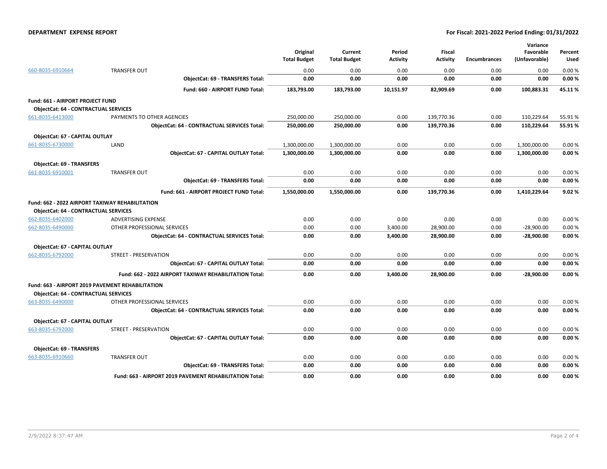#### **DEPARTMENT EXPENSE REPORT For Fiscal: 2021-2022 Period Ending: 01/31/2022**

|                                             |                                                         | Original<br><b>Total Budget</b> | Current<br><b>Total Budget</b> | Period<br>Activity | <b>Fiscal</b><br>Activity | <b>Encumbrances</b> | Variance<br>Favorable<br>(Unfavorable) | Percent<br>Used |
|---------------------------------------------|---------------------------------------------------------|---------------------------------|--------------------------------|--------------------|---------------------------|---------------------|----------------------------------------|-----------------|
| 660-8035-6910664                            | <b>TRANSFER OUT</b>                                     | 0.00                            | 0.00                           | 0.00               | 0.00                      | 0.00                | 0.00                                   | 0.00%           |
|                                             | <b>ObjectCat: 69 - TRANSFERS Total:</b>                 | 0.00                            | 0.00                           | 0.00               | 0.00                      | 0.00                | 0.00                                   | 0.00%           |
|                                             | Fund: 660 - AIRPORT FUND Total:                         | 183,793.00                      | 183,793.00                     | 10,151.97          | 82,909.69                 | 0.00                | 100,883.31                             | 45.11%          |
| Fund: 661 - AIRPORT PROJECT FUND            |                                                         |                                 |                                |                    |                           |                     |                                        |                 |
| <b>ObjectCat: 64 - CONTRACTUAL SERVICES</b> |                                                         |                                 |                                |                    |                           |                     |                                        |                 |
| 661-8035-6413000                            | PAYMENTS TO OTHER AGENCIES                              | 250,000.00                      | 250,000.00                     | 0.00               | 139,770.36                | 0.00                | 110,229.64                             | 55.91%          |
|                                             | <b>ObjectCat: 64 - CONTRACTUAL SERVICES Total:</b>      | 250,000.00                      | 250,000.00                     | 0.00               | 139,770.36                | 0.00                | 110,229.64                             | 55.91%          |
| ObjectCat: 67 - CAPITAL OUTLAY              |                                                         |                                 |                                |                    |                           |                     |                                        |                 |
| 661-8035-6730000                            | LAND                                                    | 1,300,000.00                    | 1,300,000.00                   | 0.00               | 0.00                      | 0.00                | 1,300,000.00                           | 0.00%           |
|                                             | ObjectCat: 67 - CAPITAL OUTLAY Total:                   | 1,300,000.00                    | 1,300,000.00                   | 0.00               | 0.00                      | 0.00                | 1,300,000.00                           | 0.00%           |
| ObjectCat: 69 - TRANSFERS                   |                                                         |                                 |                                |                    |                           |                     |                                        |                 |
| 661-8035-6910001                            | <b>TRANSFER OUT</b>                                     | 0.00                            | 0.00                           | 0.00               | 0.00                      | 0.00                | 0.00                                   | 0.00%           |
|                                             | <b>ObjectCat: 69 - TRANSFERS Total:</b>                 | 0.00                            | 0.00                           | 0.00               | 0.00                      | 0.00                | 0.00                                   | 0.00%           |
|                                             | Fund: 661 - AIRPORT PROJECT FUND Total:                 | 1,550,000.00                    | 1,550,000.00                   | 0.00               | 139,770.36                | 0.00                | 1,410,229.64                           | 9.02%           |
| <b>ObjectCat: 64 - CONTRACTUAL SERVICES</b> | <b>Fund: 662 - 2022 AIRPORT TAXIWAY REHABILITATION</b>  |                                 |                                |                    |                           |                     |                                        |                 |
| 662-8035-6402000                            | <b>ADVERTISING EXPENSE</b>                              | 0.00                            | 0.00                           | 0.00               | 0.00                      | 0.00                | 0.00                                   | 0.00%           |
| 662-8035-6490000                            | OTHER PROFESSIONAL SERVICES                             | 0.00                            | 0.00                           | 3,400.00           | 28,900.00                 | 0.00                | $-28,900.00$                           | 0.00%           |
|                                             | <b>ObjectCat: 64 - CONTRACTUAL SERVICES Total:</b>      | 0.00                            | 0.00                           | 3,400.00           | 28,900.00                 | 0.00                | $-28,900.00$                           | 0.00%           |
| <b>ObjectCat: 67 - CAPITAL OUTLAY</b>       |                                                         |                                 |                                |                    |                           |                     |                                        |                 |
| 662-8035-6792000                            | STREET - PRESERVATION                                   | 0.00                            | 0.00                           | 0.00               | 0.00                      | 0.00                | 0.00                                   | 0.00%           |
|                                             | <b>ObjectCat: 67 - CAPITAL OUTLAY Total:</b>            | 0.00                            | 0.00                           | 0.00               | 0.00                      | 0.00                | 0.00                                   | 0.00%           |
|                                             | Fund: 662 - 2022 AIRPORT TAXIWAY REHABILITATION Total:  | 0.00                            | 0.00                           | 3,400.00           | 28,900.00                 | 0.00                | $-28,900.00$                           | 0.00%           |
|                                             | Fund: 663 - AIRPORT 2019 PAVEMENT REHABILITATION        |                                 |                                |                    |                           |                     |                                        |                 |
| <b>ObjectCat: 64 - CONTRACTUAL SERVICES</b> |                                                         |                                 |                                |                    |                           |                     |                                        |                 |
| 663-8035-6490000                            | OTHER PROFESSIONAL SERVICES                             | 0.00                            | 0.00                           | 0.00               | 0.00                      | 0.00                | 0.00                                   | 0.00%           |
|                                             | <b>ObjectCat: 64 - CONTRACTUAL SERVICES Total:</b>      | 0.00                            | 0.00                           | 0.00               | 0.00                      | 0.00                | 0.00                                   | 0.00%           |
| ObjectCat: 67 - CAPITAL OUTLAY              |                                                         |                                 |                                |                    |                           |                     |                                        |                 |
| 663-8035-6792000                            | <b>STREET - PRESERVATION</b>                            | 0.00                            | 0.00                           | 0.00               | 0.00                      | 0.00                | 0.00                                   | 0.00%           |
|                                             | ObjectCat: 67 - CAPITAL OUTLAY Total:                   | 0.00                            | 0.00                           | 0.00               | 0.00                      | 0.00                | 0.00                                   | 0.00%           |
| <b>ObjectCat: 69 - TRANSFERS</b>            |                                                         |                                 |                                |                    |                           |                     |                                        |                 |
| 663-8035-6910660                            | <b>TRANSFER OUT</b>                                     | 0.00                            | 0.00                           | 0.00               | 0.00                      | 0.00                | 0.00                                   | 0.00%           |
|                                             | <b>ObjectCat: 69 - TRANSFERS Total:</b>                 | 0.00                            | 0.00                           | 0.00               | 0.00                      | 0.00                | 0.00                                   | 0.00%           |
|                                             | Fund: 663 - AIRPORT 2019 PAVEMENT REHABILITATION Total: | 0.00                            | 0.00                           | 0.00               | 0.00                      | 0.00                | 0.00                                   | 0.00%           |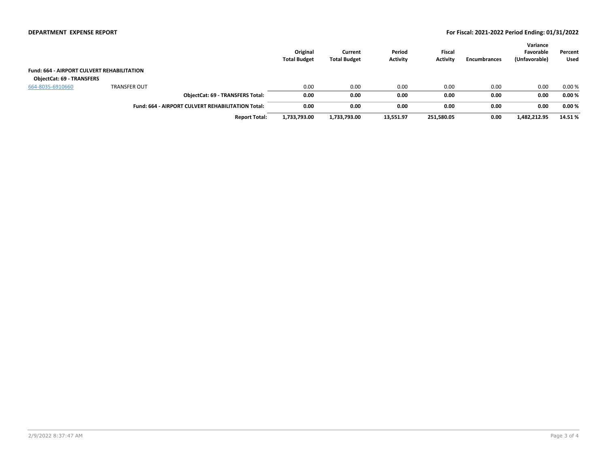#### **DEPARTMENT EXPENSE REPORT For Fiscal: 2021-2022 Period Ending: 01/31/2022**

|                                                   |                                                   |                                         | Original<br><b>Total Budget</b> | Current<br><b>Total Budget</b> | Period<br>Activity | Fiscal<br><b>Activity</b> | Encumbrances | Variance<br>Favorable<br>(Unfavorable) | Percent<br>Used |
|---------------------------------------------------|---------------------------------------------------|-----------------------------------------|---------------------------------|--------------------------------|--------------------|---------------------------|--------------|----------------------------------------|-----------------|
| <b>Fund: 664 - AIRPORT CULVERT REHABILITATION</b> |                                                   |                                         |                                 |                                |                    |                           |              |                                        |                 |
| <b>ObjectCat: 69 - TRANSFERS</b>                  |                                                   |                                         |                                 |                                |                    |                           |              |                                        |                 |
| 664-8035-6910660                                  | <b>TRANSFER OUT</b>                               |                                         | 0.00                            | 0.00                           | 0.00               | 0.00                      | 0.00         | 0.00                                   | 0.00%           |
|                                                   |                                                   | <b>ObjectCat: 69 - TRANSFERS Total:</b> | 0.00                            | 0.00                           | 0.00               | 0.00                      | 0.00         | 0.00                                   | 0.00%           |
|                                                   | Fund: 664 - AIRPORT CULVERT REHABILITATION Total: |                                         | 0.00                            | 0.00                           | 0.00               | 0.00                      | 0.00         | 0.00                                   | 0.00%           |
|                                                   |                                                   | <b>Report Total:</b>                    | 1,733,793.00                    | 1,733,793.00                   | 13,551.97          | 251,580.05                | 0.00         | 1,482,212.95                           | 14.51%          |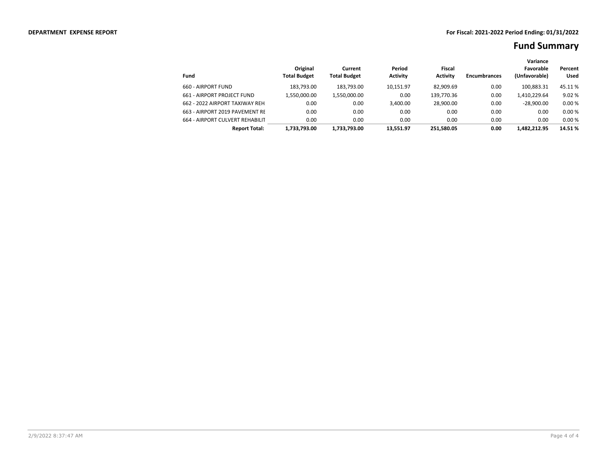|                                 |                                 |                                |                           |                                  |                     | Variance                   |                        |
|---------------------------------|---------------------------------|--------------------------------|---------------------------|----------------------------------|---------------------|----------------------------|------------------------|
| Fund                            | Original<br><b>Total Budget</b> | Current<br><b>Total Budget</b> | Period<br><b>Activity</b> | <b>Fiscal</b><br><b>Activity</b> | <b>Encumbrances</b> | Favorable<br>(Unfavorable) | Percent<br><b>Used</b> |
| 660 - AIRPORT FUND              | 183.793.00                      | 183.793.00                     | 10,151.97                 | 82.909.69                        | 0.00                | 100.883.31                 | 45.11 %                |
| 661 - AIRPORT PROJECT FUND      | 1,550,000.00                    | 1,550,000.00                   | 0.00                      | 139,770.36                       | 0.00                | 1,410,229.64               | 9.02%                  |
| 662 - 2022 AIRPORT TAXIWAY REH. | 0.00                            | 0.00                           | 3.400.00                  | 28.900.00                        | 0.00                | $-28.900.00$               | 0.00%                  |
| 663 - AIRPORT 2019 PAVEMENT RE  | 0.00                            | 0.00                           | 0.00                      | 0.00                             | 0.00                | 0.00                       | 0.00%                  |
| 664 - AIRPORT CULVERT REHABILIT | 0.00                            | 0.00                           | 0.00                      | 0.00                             | 0.00                | 0.00                       | 0.00%                  |
| <b>Report Total:</b>            | 1.733.793.00                    | 1,733,793.00                   | 13.551.97                 | 251.580.05                       | 0.00                | 1.482.212.95               | 14.51 %                |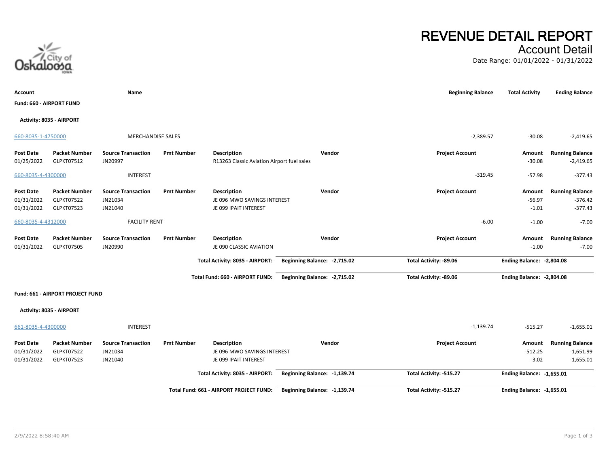**Activity: 8035 - AIRPORT**

# **Account Name Beginning Balance Total Activity Ending Balance** 660-8035-1-4750000 MERCHANDISE SALES -2,389.57 -30.08 -2,419.65 **Post Date Packet Number Source Transaction Pmt Number Description Vendor Project Account Amount Running Balance** 01/25/2022 GLPKT07512 JN20997 **R13263 Classic Aviation Airport fuel sales** -30.08 -30.08 -2,419.65 660-8035-4-4300000 INTEREST -319.45 -57.98 -377.43 **Post Date Packet Number Source Transaction Pmt Number Description Vendor Project Account Amount Running Balance** 01/31/2022 GLPKT07522 JN21034 JE 096 MWO SAVINGS INTEREST -56.97 -376.42 01/31/2022 GLPKT07523 JN21040 JE 099 IPAIT INTEREST JUNION STATES AND STATES AND THE OPPORT OF A STATES OF A ST 660-8035-4-4312000 FACILITY RENT -6.00 -1.00 -7.00 **Post Date Packet Number Source Transaction Pmt Number Description Vendor Project Account Amount Running Balance** 01/31/2022 GLPKT07505 JN20990 JE 090 CLASSIC AVIATION JE 090 CLASSIC AVIATION -1.00 -1.00 -1.00 -1.00 -7.00 **Total Activity: 8035 - AIRPORT: Beginning Balance: -2,715.02 Total Activity: -89.06 Ending Balance: -2,804.08 Total Fund: 660 - AIRPORT FUND: Beginning Balance: -2,715.02 Total Activity: -89.06 Ending Balance: -2,804.08 Fund: 661 - AIRPORT PROJECT FUND** 661-8035-4-4300000 INTEREST -1,139.74 -515.27 -1,655.01



# **REVENUE DETAIL REPORT**

### Account Detail

Date Range: 01/01/2022 - 01/31/2022



**Fund: 660 - AIRPORT FUND**

**Activity: 8035 - AIRPORT**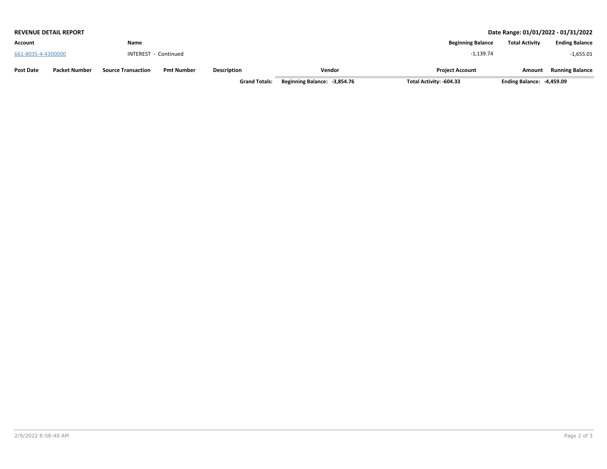|                    | <b>REVENUE DETAIL REPORT</b> |                           | Date Range: 01/01/2022 - 01/31/2022 |                      |                              |                          |                           |                        |
|--------------------|------------------------------|---------------------------|-------------------------------------|----------------------|------------------------------|--------------------------|---------------------------|------------------------|
| Account            |                              | Name                      |                                     |                      |                              | <b>Beginning Balance</b> | <b>Total Activity</b>     | <b>Ending Balance</b>  |
| 661-8035-4-4300000 |                              |                           | INTEREST - Continued                |                      |                              | $-1.139.74$              |                           | $-1,655.01$            |
| <b>Post Date</b>   | <b>Packet Number</b>         | <b>Source Transaction</b> | <b>Pmt Number</b>                   | <b>Description</b>   | Vendor                       | <b>Project Account</b>   | Amount                    | <b>Running Balance</b> |
|                    |                              |                           |                                     | <b>Grand Totals:</b> | Beginning Balance: -3,854.76 | Total Activity: -604.33  | Ending Balance: -4,459.09 |                        |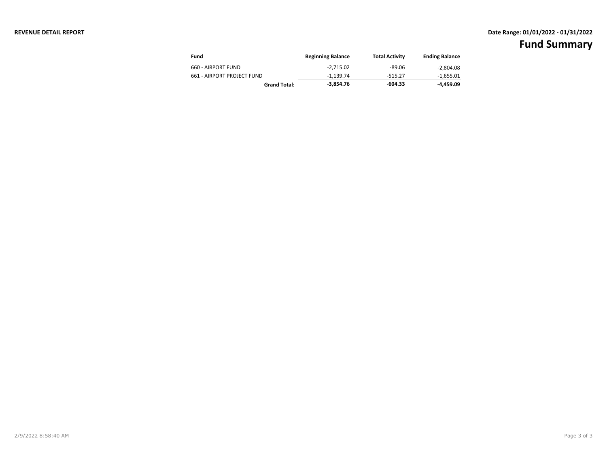### **REVENUE DETAIL REPORT Date Range: 01/01/2022 - 01/31/2022**

| Fund                       | <b>Beginning Balance</b> | <b>Total Activity</b> | <b>Ending Balance</b> |
|----------------------------|--------------------------|-----------------------|-----------------------|
| 660 - AIRPORT FUND         | $-2.715.02$              | -89.06                | $-2.804.08$           |
| 661 - AIRPORT PROJECT FUND | $-1.139.74$              | $-515.27$             | -1,655.01             |
| <b>Grand Total:</b>        | -3.854.76                | $-604.33$             | -4.459.09             |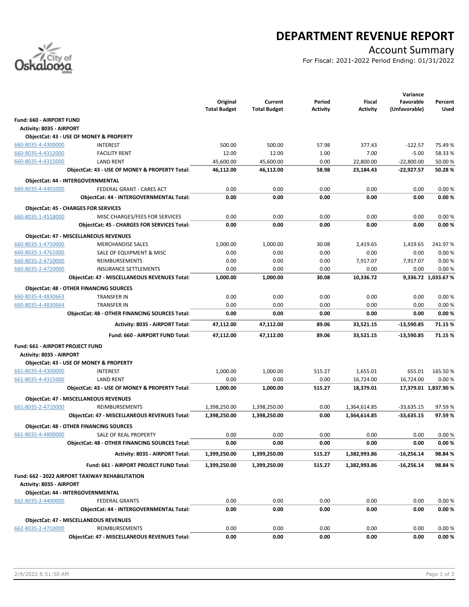

# **DEPARTMENT REVENUE REPORT**

### Account Summary

For Fiscal: 2021-2022 Period Ending: 01/31/2022

|                                         |                                                       | Original<br><b>Total Budget</b> | Current<br><b>Total Budget</b> | Period<br><b>Activity</b> | <b>Fiscal</b><br><b>Activity</b> | Variance<br>Favorable<br>(Unfavorable) | Percent<br>Used      |
|-----------------------------------------|-------------------------------------------------------|---------------------------------|--------------------------------|---------------------------|----------------------------------|----------------------------------------|----------------------|
| Fund: 660 - AIRPORT FUND                |                                                       |                                 |                                |                           |                                  |                                        |                      |
| <b>Activity: 8035 - AIRPORT</b>         |                                                       |                                 |                                |                           |                                  |                                        |                      |
|                                         | ObjectCat: 43 - USE OF MONEY & PROPERTY               |                                 |                                |                           |                                  |                                        |                      |
| 660-8035-4-4300000                      | <b>INTEREST</b>                                       | 500.00                          | 500.00                         | 57.98                     | 377.43                           | $-122.57$                              | 75.49%               |
| 660-8035-4-4312000                      | <b>FACILITY RENT</b>                                  | 12.00                           | 12.00                          | 1.00                      | 7.00                             | $-5.00$                                | 58.33 %              |
| 660-8035-4-4315000                      | <b>LAND RENT</b>                                      | 45,600.00                       | 45,600.00                      | 0.00                      | 22,800.00                        | $-22,800.00$                           | 50.00 %              |
|                                         | ObjectCat: 43 - USE OF MONEY & PROPERTY Total:        | 46,112.00                       | 46,112.00                      | 58.98                     | 23,184.43                        | $-22,927.57$                           | 50.28%               |
|                                         | ObjectCat: 44 - INTERGOVERNMENTAL                     |                                 |                                |                           |                                  |                                        |                      |
| 660-8035-4-4401000                      | FEDERAL GRANT - CARES ACT                             | 0.00                            | 0.00                           | 0.00                      | 0.00                             | 0.00                                   | 0.00%                |
|                                         | ObjectCat: 44 - INTERGOVERNMENTAL Total:              | 0.00                            | 0.00                           | 0.00                      | 0.00                             | 0.00                                   | 0.00%                |
|                                         |                                                       |                                 |                                |                           |                                  |                                        |                      |
|                                         | <b>ObjectCat: 45 - CHARGES FOR SERVICES</b>           |                                 |                                |                           |                                  |                                        |                      |
| 660-8035-1-4518000                      | MISC CHARGES/FEES FOR SERVICES                        | 0.00                            | 0.00                           | 0.00                      | 0.00                             | 0.00                                   | 0.00%                |
|                                         | <b>ObjectCat: 45 - CHARGES FOR SERVICES Total:</b>    | 0.00                            | 0.00                           | 0.00                      | 0.00                             | 0.00                                   | 0.00%                |
|                                         | <b>ObjectCat: 47 - MISCELLANEOUS REVENUES</b>         |                                 |                                |                           |                                  |                                        |                      |
| 660-8035-1-4750000                      | <b>MERCHANDISE SALES</b>                              | 1,000.00                        | 1,000.00                       | 30.08                     | 2,419.65                         | 1,419.65                               | 241.97%              |
| 660-8035-1-4761000                      | SALE OF EQUIPMENT & MISC                              | 0.00                            | 0.00                           | 0.00                      | 0.00                             | 0.00                                   | 0.00%                |
| 660-8035-2-4710000                      | <b>REIMBURSEMENTS</b>                                 | 0.00                            | 0.00                           | 0.00                      | 7,917.07                         | 7,917.07                               | 0.00%                |
| 660-8035-2-4720000                      | <b>INSURANCE SETTLEMENTS</b>                          | 0.00                            | 0.00                           | 0.00                      | 0.00                             | 0.00                                   | 0.00%                |
|                                         | <b>ObjectCat: 47 - MISCELLANEOUS REVENUES Total:</b>  | 1,000.00                        | 1,000.00                       | 30.08                     | 10,336.72                        |                                        | 9,336.72 1,033.67 %  |
|                                         | <b>ObjectCat: 48 - OTHER FINANCING SOURCES</b>        |                                 |                                |                           |                                  |                                        |                      |
| 660-8035-4-4830663                      | <b>TRANSFER IN</b>                                    | 0.00                            | 0.00                           | 0.00                      | 0.00                             | 0.00                                   | 0.00%                |
| 660-8035-4-4830664                      | <b>TRANSFER IN</b>                                    | 0.00                            | 0.00                           | 0.00                      | 0.00                             | 0.00                                   | 0.00%                |
|                                         | <b>ObjectCat: 48 - OTHER FINANCING SOURCES Total:</b> | 0.00                            | 0.00                           | 0.00                      | 0.00                             | 0.00                                   | 0.00%                |
|                                         |                                                       |                                 |                                |                           |                                  |                                        |                      |
|                                         | Activity: 8035 - AIRPORT Total:                       | 47,112.00                       | 47,112.00                      | 89.06                     | 33,521.15                        | $-13,590.85$                           | 71.15 %              |
|                                         | Fund: 660 - AIRPORT FUND Total:                       | 47,112.00                       | 47,112.00                      | 89.06                     | 33,521.15                        | -13,590.85                             | 71.15 %              |
| <b>Fund: 661 - AIRPORT PROJECT FUND</b> |                                                       |                                 |                                |                           |                                  |                                        |                      |
| <b>Activity: 8035 - AIRPORT</b>         |                                                       |                                 |                                |                           |                                  |                                        |                      |
|                                         | ObjectCat: 43 - USE OF MONEY & PROPERTY               |                                 |                                |                           |                                  |                                        |                      |
| 661-8035-4-4300000                      | <b>INTEREST</b>                                       | 1,000.00                        | 1,000.00                       | 515.27                    | 1,655.01                         | 655.01                                 | 165.50%              |
| 661-8035-4-4315000                      | <b>LAND RENT</b>                                      | 0.00                            | 0.00                           | 0.00                      | 16,724.00                        | 16,724.00                              | 0.00%                |
|                                         | ObjectCat: 43 - USE OF MONEY & PROPERTY Total:        | 1,000.00                        | 1,000.00                       | 515.27                    | 18,379.01                        |                                        | 17,379.01 1,837.90 % |
|                                         | <b>ObjectCat: 47 - MISCELLANEOUS REVENUES</b>         |                                 |                                |                           |                                  |                                        |                      |
| 661-8035-2-4710000                      | REIMBURSEMENTS                                        | 1,398,250.00                    | 1,398,250.00                   | 0.00                      | 1,364,614.85                     | $-33,635.15$                           | 97.59%               |
|                                         | <b>ObjectCat: 47 - MISCELLANEOUS REVENUES Total:</b>  | 1,398,250.00                    | 1,398,250.00                   | 0.00                      | 1,364,614.85                     | $-33,635.15$                           | 97.59%               |
|                                         |                                                       |                                 |                                |                           |                                  |                                        |                      |
|                                         | <b>ObjectCat: 48 - OTHER FINANCING SOURCES</b>        |                                 |                                |                           |                                  |                                        |                      |
| 661-8035-4-4800000                      | SALE OF REAL PROPERTY                                 | 0.00                            | 0.00                           | 0.00                      | 0.00                             | 0.00                                   | 0.00%                |
|                                         | <b>ObjectCat: 48 - OTHER FINANCING SOURCES Total:</b> | 0.00                            | 0.00                           | 0.00                      | 0.00                             | 0.00                                   | 0.00%                |
|                                         | Activity: 8035 - AIRPORT Total:                       | 1,399,250.00                    | 1,399,250.00                   | 515.27                    | 1,382,993.86                     | $-16,256.14$                           | 98.84%               |
|                                         | Fund: 661 - AIRPORT PROJECT FUND Total:               | 1,399,250.00                    | 1,399,250.00                   | 515.27                    | 1,382,993.86                     | -16,256.14                             | 98.84%               |
|                                         | Fund: 662 - 2022 AIRPORT TAXIWAY REHABILITATION       |                                 |                                |                           |                                  |                                        |                      |
| Activity: 8035 - AIRPORT                |                                                       |                                 |                                |                           |                                  |                                        |                      |
|                                         | ObjectCat: 44 - INTERGOVERNMENTAL                     |                                 |                                |                           |                                  |                                        |                      |
| 662-8035-2-4400000                      | <b>FEDERAL GRANTS</b>                                 | 0.00                            | 0.00                           | 0.00                      | 0.00                             | 0.00                                   | 0.00%                |
|                                         | ObjectCat: 44 - INTERGOVERNMENTAL Total:              | 0.00                            | 0.00                           | 0.00                      | 0.00                             | 0.00                                   | 0.00%                |
|                                         |                                                       |                                 |                                |                           |                                  |                                        |                      |
|                                         | <b>ObjectCat: 47 - MISCELLANEOUS REVENUES</b>         |                                 |                                |                           |                                  |                                        |                      |
| 662-8035-2-4710000                      | REIMBURSEMENTS                                        | 0.00                            | 0.00                           | 0.00                      | 0.00                             | 0.00                                   | 0.00%                |
|                                         | ObjectCat: 47 - MISCELLANEOUS REVENUES Total:         | 0.00                            | 0.00                           | 0.00                      | 0.00                             | 0.00                                   | 0.00%                |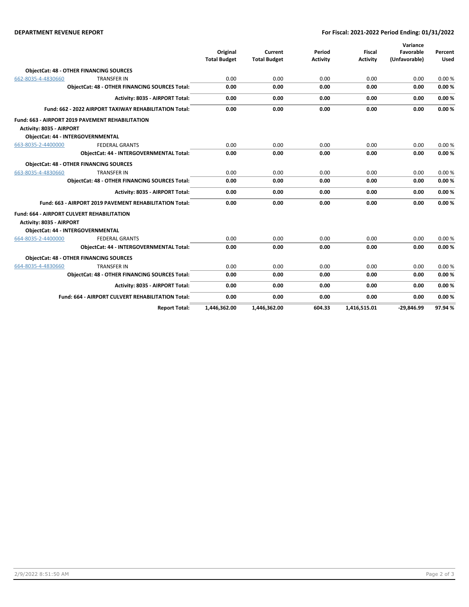#### **DEPARTMENT REVENUE REPORT For Fiscal: 2021-2022 Period Ending: 01/31/2022**

|                                                        |                                                         |                     |                     |                 |                 | Variance      |             |
|--------------------------------------------------------|---------------------------------------------------------|---------------------|---------------------|-----------------|-----------------|---------------|-------------|
|                                                        |                                                         | Original            | Current             | Period          | <b>Fiscal</b>   | Favorable     | Percent     |
|                                                        |                                                         | <b>Total Budget</b> | <b>Total Budget</b> | <b>Activity</b> | <b>Activity</b> | (Unfavorable) | <b>Used</b> |
|                                                        | <b>ObjectCat: 48 - OTHER FINANCING SOURCES</b>          |                     |                     |                 |                 |               |             |
| 662-8035-4-4830660                                     | <b>TRANSFER IN</b>                                      | 0.00                | 0.00                | 0.00            | 0.00            | 0.00          | 0.00%       |
| ObjectCat: 48 - OTHER FINANCING SOURCES Total:         |                                                         | 0.00                | 0.00                | 0.00            | 0.00            | 0.00          | 0.00%       |
|                                                        | Activity: 8035 - AIRPORT Total:                         | 0.00                | 0.00                | 0.00            | 0.00            | 0.00          | 0.00%       |
| Fund: 662 - 2022 AIRPORT TAXIWAY REHABILITATION Total: |                                                         | 0.00                | 0.00                | 0.00            | 0.00            | 0.00          | 0.00%       |
|                                                        | Fund: 663 - AIRPORT 2019 PAVEMENT REHABILITATION        |                     |                     |                 |                 |               |             |
| Activity: 8035 - AIRPORT                               |                                                         |                     |                     |                 |                 |               |             |
|                                                        | <b>ObjectCat: 44 - INTERGOVERNMENTAL</b>                |                     |                     |                 |                 |               |             |
| 663-8035-2-4400000                                     | <b>FEDERAL GRANTS</b>                                   | 0.00                | 0.00                | 0.00            | 0.00            | 0.00          | 0.00%       |
|                                                        | ObjectCat: 44 - INTERGOVERNMENTAL Total:                | 0.00                | 0.00                | 0.00            | 0.00            | 0.00          | 0.00%       |
|                                                        | <b>ObjectCat: 48 - OTHER FINANCING SOURCES</b>          |                     |                     |                 |                 |               |             |
| 663-8035-4-4830660                                     | <b>TRANSFER IN</b>                                      | 0.00                | 0.00                | 0.00            | 0.00            | 0.00          | 0.00%       |
|                                                        | <b>ObjectCat: 48 - OTHER FINANCING SOURCES Total:</b>   | 0.00                | 0.00                | 0.00            | 0.00            | 0.00          | 0.00%       |
|                                                        | Activity: 8035 - AIRPORT Total:                         | 0.00                | 0.00                | 0.00            | 0.00            | 0.00          | 0.00%       |
|                                                        | Fund: 663 - AIRPORT 2019 PAVEMENT REHABILITATION Total: | 0.00                | 0.00                | 0.00            | 0.00            | 0.00          | 0.00%       |
|                                                        | <b>Fund: 664 - AIRPORT CULVERT REHABILITATION</b>       |                     |                     |                 |                 |               |             |
| Activity: 8035 - AIRPORT                               |                                                         |                     |                     |                 |                 |               |             |
|                                                        | ObjectCat: 44 - INTERGOVERNMENTAL                       |                     |                     |                 |                 |               |             |
| 664-8035-2-4400000                                     | <b>FEDERAL GRANTS</b>                                   | 0.00                | 0.00                | 0.00            | 0.00            | 0.00          | 0.00%       |
|                                                        | <b>ObjectCat: 44 - INTERGOVERNMENTAL Total:</b>         | 0.00                | 0.00                | 0.00            | 0.00            | 0.00          | 0.00%       |
|                                                        | <b>ObjectCat: 48 - OTHER FINANCING SOURCES</b>          |                     |                     |                 |                 |               |             |
| 664-8035-4-4830660                                     | <b>TRANSFER IN</b>                                      | 0.00                | 0.00                | 0.00            | 0.00            | 0.00          | 0.00%       |
|                                                        | <b>ObjectCat: 48 - OTHER FINANCING SOURCES Total:</b>   | 0.00                | 0.00                | 0.00            | 0.00            | 0.00          | 0.00%       |
|                                                        | Activity: 8035 - AIRPORT Total:                         | 0.00                | 0.00                | 0.00            | 0.00            | 0.00          | 0.00%       |
|                                                        | Fund: 664 - AIRPORT CULVERT REHABILITATION Total:       | 0.00                | 0.00                | 0.00            | 0.00            | 0.00          | 0.00%       |
|                                                        | <b>Report Total:</b>                                    | 1.446.362.00        | 1.446.362.00        | 604.33          | 1.416.515.01    | $-29.846.99$  | 97.94%      |